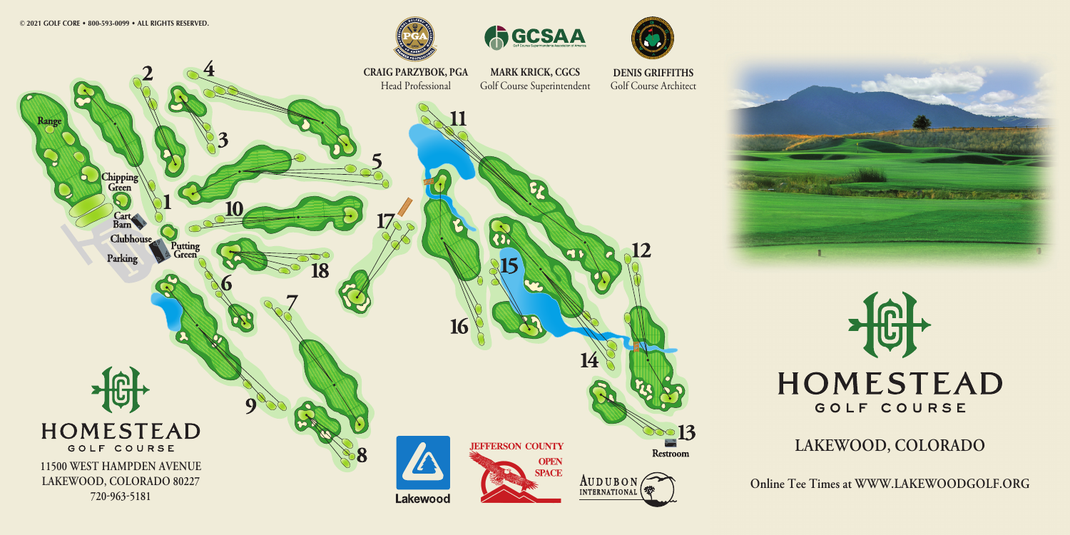



**CRAIG PARZYBOK, PGA MARK KRICK, CGCS DENIS GRIFFITHS**Golf Course Superintendent Head ProfessionalGolf Course Architectkang hipping.<br>' Green Barn **Clubhouse**  $\widetilde{\Omega}$ Putting<br>Green Parking 18 **HOMESTEAD**  $\geq 13$ **JEFFERSON COUNTY** GOLF COURSE **Restroom OPEN 11500 WEST HAMPDEN AVENUE SPACE** AUDUBON<sub>(</sub> **LAKEWOOD, COLORADO 80227 7209635181** Lakewood





## **LAKEWOOD, COLORADO**

**Online Tee Times at WWW.LAKEWOODGOLF.ORG**